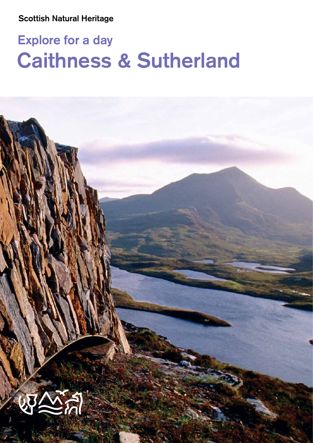# **Explore for a day Caithness & Sutherland**

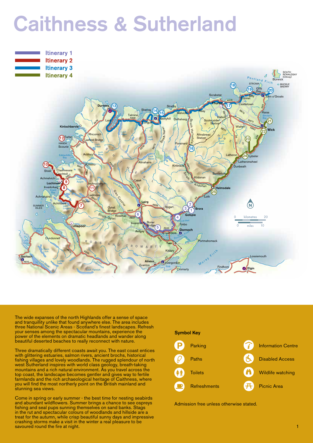# **Caithness & Sutherland**



INVERNESS

The wide expanses of the north Highlands offer a sense of space and tranquillity unlike that found anywhere else. The area includes three National Scenic Areas - Scotland's finest landscapes. Refresh your senses among the spectacular mountains, experience the power of the elements on dramatic headlands and wander along beautiful deserted beaches to really reconnect with nature.

A896

Three dramatically different coasts await you. The east coast entices with glittering estuaries, salmon rivers, ancient brochs, historical fishing villages and lovely woodlands. The rugged splendour of north west Sutherland inspires with world class geology, breath-taking mountains and a rich natural environment. As you travel across the top coast, the landscape becomes gentler and gives way to fertile farmlands and the rich archaeological heritage of Caithness, where you will find the most northerly point on the British mainland and stunning sea views.

Come in spring or early summer - the best time for nesting seabirds and abundant wildflowers. Summer brings a chance to see ospreys fishing and seal pups sunning themselves on sand banks. Stags in the rut and spectacular colours of woodlands and hillside are a treat for the autumn, while crisp beautiful sunny days and impressive crashing storms make a visit in the winter a real pleasure to be savoured round the fire at night.



Admission free unless otherwise stated.

Dufftown Huntly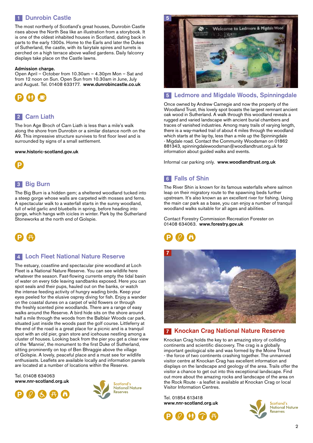#### **1** Dunrobin Castle

The most northerly of Scotland's great houses, Dunrobin Castle rises above the North Sea like an illustration from a storybook. It is one of the oldest inhabited houses in Scotland, dating back in parts to the early 1300s. Home to the Earls and later the Dukes of Sutherland, the castle, with its fairytale spires and turrets is perched on a high terrace above walled gardens. Daily falconry displays take place on the Castle lawns.

#### **Admission charge.**

Open April – October from 10.30am – 4.30pm Mon – Sat and from 12 noon on Sun. Open Sun from 10.30am in June, July and August. Tel. 01408 633177. **www.dunrobincastle.co.uk**



## **Carn Liath 2**

The Iron Age Broch of Carn Liath is less than a mile's walk along the shore from Dunrobin or a similar distance north on the A9. This impressive structure survives to first floor level and is surrounded by signs of a small settlement.

#### **www.historic-scotland.gov.uk**



#### **Big Burn 3**

The Big Burn is a hidden gem; a sheltered woodland tucked into a steep gorge whose walls are carpeted with mosses and ferns. A spectacular walk to a waterfall starts in the sunny woodland, full of wild garlic and bluebells in spring, before heading into gorge, which hangs with icicles in winter. Park by the Sutherland Stoneworks at the north end of Golspie.



#### **Loch Fleet National Nature Reserve 4**

The estuary, coastline and spectacular pine woodland at Loch Fleet is a National Nature Reserve. You can see wildlife here whatever the season. Fast-flowing currents empty the tidal basin of water on every tide leaving sandbanks exposed. Here you can spot seals and their pups, hauled out on the banks, or watch the intense feeding activity of hungry wading birds. Keep your eyes peeled for the elusive osprey diving for fish. Enjoy a wander on the coastal dunes on a carpet of wild flowers or through the freshly scented pine woodlands. There are a range of easy walks around the Reserve. A bird hide sits on the shore around half a mile through the woods from the Balblair Woods car park, situated just inside the woods past the golf course. Littleferry at the end of the road is a great place for a picnic and is a tranquil spot with an old pier, grain store and icehouse nestling among a cluster of houses. Looking back from the pier you get a clear view of the 'Mannie', the monument to the first Duke of Sutherland, sitting prominently on top of Ben Bhraggie above the village of Golspie. A lovely, peaceful place and a must see for wildlife enthusiasts. Leaflets are available locally and information panels are located at a number of locations within the Reserve.

Tel. 01408 634063 **www.nnr-scotland.org.uk**





**5** Welcome to Ledmore & Migdale Woo

#### **Ledmore and Migdale Woods, Spinningdale 5**

Once owned by Andrew Carnegie and now the property of the Woodland Trust, this lovely spot boasts the largest remnant ancient oak wood in Sutherland. A walk through this woodland reveals a rugged and varied landscape with ancient burial chambers and traces of vanished industries. Among many trails of varying length, there is a way-marked trail of about 4 miles through the woodland which starts at the lay-by, less than a mile up the Spinningdale - Migdale road. Contact the Community Woodsman on 01862 881343, spinningdalewoodsman@woodlandtrust.org.uk for information about guided walks and events.

Informal car parking only. **www.woodlandtrust.org.uk** 

### **Falls of Shin 6**

The River Shin is known for its famous waterfalls where salmon leap on their migratory route to the spawning beds further upstream. It's also known as an excellent river for fishing. Using the main car park as a base, you can enjoy a number of tranquil woodland walks suitable for all ages and abilities.

Contact Forestry Commission Recreation Forester on 01408 634063. **www.forestry.gov.uk**





#### **Knockan Crag National Nature Reserve**

Knockan Crag holds the key to an amazing story of colliding continents and scientific discovery. The crag is a globally important geological site and was formed by the Moine Thrust - the force of two continents crashing together. The unmanned visitor centre at Knockan Crag has excellent information and displays on the landscape and geology of the area. Trails offer the visitor a chance to get out into this exceptional landscape. Find out more about the amazing rocks and landscape of the area on the Rock Route - a leaflet is available at Knockan Crag or local Visitor Information Centres.

Tel. 01854 613418 **www.nnr-scotland.org.uk**



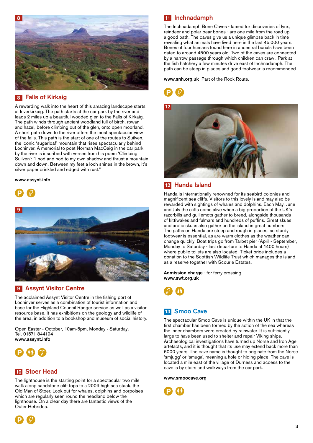

#### **Falls of Kirkaig 8**

A rewarding walk into the heart of this amazing landscape starts at Inverkirkaig. The path starts at the car park by the river and leads 2 miles up a beautiful wooded glen to the Falls of Kirkaig. The path winds through ancient woodland full of birch, rowan and hazel, before climbing out of the glen, onto open moorland. A short path down to the river offers the most spectacular view of the falls. This path is the start of one of the routes to Suilven, the iconic 'sugarloaf' mountain that rises spectacularly behind Lochinver. A memorial to poet Norman MacCaig in the car park by the river is inscribed with verses from his poem 'Climbing Suilven': "I nod and nod to my own shadow and thrust a mountain down and down. Between my feet a loch shines in the brown, It's silver paper crinkled and edged with rust."

#### **www.assynt.info**





#### **Assynt Visitor Centre 9**

The acclaimed Assynt Visitor Centre in the fishing port of Lochinver serves as a combination of tourist information and base for the Highland Council Ranger service as well as a visitor resource base. It has exhibitions on the geology and wildlife of the area, in addition to a bookshop and museum of social history.

Open Easter - October, 10am-5pm, Monday - Saturday**.** Tel. 01571 844194 **www.assynt.info** 



#### **Stoer Head 10**

The lighthouse is the starting point for a spectacular two mile walk along sandstone cliff tops to a 200ft high sea stack, the Old Man of Stoer. Look out for whales, dolphins and porpoises which are regularly seen round the headland below the lighthouse. On a clear day there are fantastic views of the Outer Hebrides.

#### **Inchnadamph 11**

The Inchnadamph Bone Caves - famed for discoveries of lynx, reindeer and polar bear bones - are one mile from the road up a good path. The caves give us a unique glimpse back in time revealing what animals have lived here in the last 45,000 years. Bones of four humans found here in ancestral burials have been dated to around 4500 years old. Two of the caves are connected by a narrow passage through which children can crawl. Park at the fish hatchery a few minutes drive east of Inchnadamph. The path can be steep in places and good footwear is recommended.

**www.snh.org.uk** Part of the Rock Route.





#### **Handa Island 12**

Handa is internationally renowned for its seabird colonies and magnificent sea cliffs. Visitors to this lovely island may also be rewarded with sightings of whales and dolphins. Each May, June and July the cliffs come alive when a big proportion of the UK's razorbills and guillemots gather to breed, alongside thousands of kittiwakes and fulmars and hundreds of puffins. Great skuas and arctic skuas also gather on the island in great numbers. The paths on Handa are steep and rough in places, so sturdy footwear is essential, as are warm clothes as the weather can change quickly. Boat trips go from Tarbet pier (April - September, Monday to Saturday - last departure to Handa at 1400 hours) where public toilets are also located. Ticket price includes a donation to the Scottish Wildlife Trust which manages the island as a reserve together with Scourie Estates.

**Admission charge** - for ferry crossing **www.swt.org.uk**



#### **13** Smoo Cave

The spectacular Smoo Cave is unique within the UK in that the first chamber has been formed by the action of the sea whereas the inner chambers were created by rainwater. It is sufficiently large to have been used to shelter and repair Viking ships. Archaeological investigations have turned up Norse and Iron Age artefacts, and it is thought that its use may extend back more than 6000 years. The cave name is thought to originate from the Norse 'smjugg' or 'smuga', meaning a hole or hiding-place. The cave is located a mile east of the village of Durness and access to the cave is by stairs and walkways from the car park.

**www.smoocave.org** 

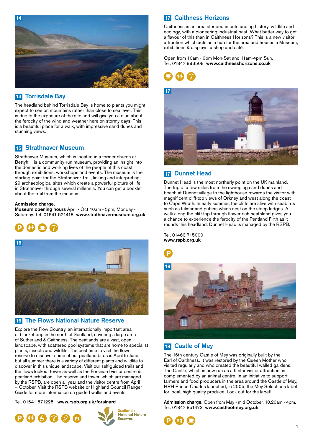

#### **Torrisdale Bay 14**

The headland behind Torrisdale Bay is home to plants you might expect to see on mountains rather than close to sea level. This is due to the exposure of the site and will give you a clue about the ferocity of the wind and weather here on stormy days. This is a beautiful place for a walk, with impressive sand dunes and stunning views.

#### **15 Strathnaver Museum**

Strathnaver Museum, which is located in a former church at Bettyhill, is a community-run museum, providing an insight into the domestic and working lives of the people of this coast, through exhibitions, workshops and events. The museum is the starting point for the Strathnaver Trail, linking and interpreting 29 archaeological sites which create a powerful picture of life in Strathnaver through several millennia. You can get a booklet about the trail from the museum.

#### **Admission charge.**

**Museum opening hours** April - Oct 10am - 5pm, Monday - Saturday. Tel. 01641 521418 **www.strathnavermuseum.org.uk**





#### **The Flows National Nature Reserve 16**

Explore the Flow Country, an internationally important area of blanket bog in the north of Scotland, covering a large area of Sutherland & Caithness. The peatlands are a vast, open landscape, with scattered pool systems that are home to specialist plants, insects and wildlife. The best time to visit the flows reserve to discover some of our peatland birds is April to June, but all summer there is a variety of different plants and wildlife to discover in this unique landscape. Visit our self-guided trails and the flows lookout tower as well as the Forsinard visitor centre & peatland exhibition. The reserve and tower, which are managed by the RSPB, are open all year and the visitor centre from April – October. Visit the RSPB website or Highland Council Ranger Guide for more information on guided walks and events.

Tel. 01641 571225 **www.rspb.org.uk/forsinard** 







### **Caithness Horizons 17**

Caithness is an area steeped in outstanding history, wildlife and ecology, with a pioneering industrial past. What better way to get a flavour of this than in Caithness Horizons? This is a new visitor attraction which acts as a hub for the area and houses a Museum, exhibitions & displays, a shop and café.

Open from 10am - 6pm Mon-Sat and 11am-4pm Sun. Tel. 01847 896508 **www.caithnesshorizons.co.uk**





#### **17 Dunnet Head**

Dunnet Head is the most northerly point on the UK mainland. The trip of a few miles from the sweeping sand dunes and beach at Dunnet village to the lighthouse rewards the visitor with magnificent cliff-top views of Orkney and west along the coast to Cape Wrath. In early summer, the cliffs are alive with seabirds such as fulmar and puffins which nest on the steep ledges. A walk along the cliff top through flower-rich heathland gives you a chance to experience the ferocity of the Pentland Firth as it rounds this headland. Dunnet Head is managed by the RSPB.

Tel. 01463 715000 **www.rspb.org.uk**



#### **Castle of Mey 19**

The 16th century Castle of Mey was originally built by the Earl of Caithness. It was restored by the Queen Mother who visited regularly and who created the beautiful walled gardens. The Castle, which is now run as a 5 star visitor attraction, is complemented by an animal centre. In an initiative to support farmers and food producers in the area around the Castle of Mey, HRH Prince Charles launched, in 2005, the Mey Selections label for local, high quality produce. Look out for the label!

**Admission charge.** Open from May - mid October, 10.20am - 4pm. Tel. 01847 851473 **www.castleofmey.org.uk**

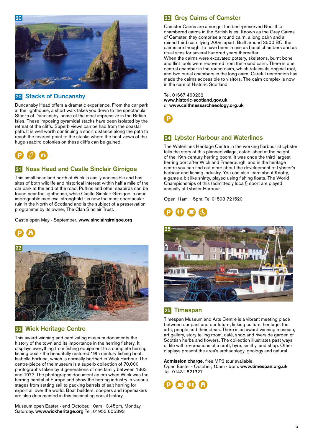

#### **Stacks of Duncansby 20**

Duncansby Head offers a dramatic experience. From the car park at the lighthouse, a short walk takes you down to the spectacular Stacks of Duncansby, some of the most impressive in the British Isles. These imposing pyramidal stacks have been isolated by the retreat of the cliffs. Superb views can be had from the coastal path. It is well worth continuing a short distance along the path to reach the nearest point to the stacks where the best views of the huge seabird colonies on these cliffs can be gained.



#### **Noss Head and Castle Sinclair Girnigoe 21**

This small headland north of Wick is easily accessible and has sites of both wildlife and historical interest within half a mile of the car park at the end of the road. Puffins and other seabirds can be found near the lighthouse, while Castle Sinclair Girnigoe, a once impregnable medieval stronghold - is now the most spectacular ruin in the North of Scotland and is the subject of a preservation programme by its owner, The Clan Sinclair Trust.

Castle open May - September. **www.sinclairgirnigoe.org**





#### **Wick Heritage Centre 22**

This award-winning and captivating museum documents the history of the town and its importance in the herring fishery. It displays everything from fishing equipment to a complete herring fishing boat - the beautifully restored 19th century fishing boat, Isabella Fortuna, which is normally berthed in Wick Harbour. The centre-piece of the museum is a superb collection of 70,000 photographs taken by 3 generations of one family between 1863 and 1977. The photographs document an era when Wick was the herring capital of Europe and show the herring industry in various stages from setting sail to packing barrels of salt herring for export all over the world. Boat builders, coopers and ropemakers are also documented in this fascinating social history.

Museum open Easter - end October, 10am - 3.45pm, Monday - Saturday. **www.wickheritage.org** Tel. 01955 605393

### 23 Grey Cairns of Camster

Camster Cairns are amongst the best-preserved Neolithic chambered cairns in the British Isles. Known as the Grey Cairns of Camster, they comprise a round cairn, a long cairn and a ruined third cairn lying 200m apart. Built around 3500 BC, the cairns are thought to have been in use as burial chambers and as ritual sites for several hundred years thereafter.

When the cairns were excavated pottery, skeletons, burnt bone and flint tools were recovered from the round cairn. There is one central chamber in the round cairn, which retains its original roof, and two burial chambers in the long cairn. Careful restoration has made the cairns accessible to visitors. The cairn complex is now in the care of Historic Scotland.

Tel. 01667 460232 **www.historic-scotland.gov.uk** or **www.caithnessarchaeology.org.uk**



#### **Lybster Harbour and Waterlines 24**

The Waterlines Heritage Centre in the working harbour at Lybster tells the story of this planned village, established at the height of the 19th-century herring boom. It was once the third largest herring port after Wick and Fraserburgh, and in the heritage centre you can find out more about the development of Lybster's harbour and fishing industry. You can also learn about Knotty, a game a bit like shinty, played using fishing floats. The World Championships of this (admittedly local!) sport are played annually at Lybster Harbour.

Open 11am – 5pm. Tel 01593 721520



#### **Timespan 25**

Timespan Museum and Arts Centre is a vibrant meeting place between our past and our future; linking culture, heritage, the arts, people and their ideas. There is an award winning museum, art gallery, story telling room, café, shop and riverside garden of Scottish herbs and flowers. The collection illustrates past ways of life with re-creations of a croft, byre, smithy, and shop. Other displays present the area's archaeology, geology and natural

**Admission charge,** free MP3 tour available. Open Easter - October, 10am - 5pm. **www.timespan.org.uk** Tel. 01431 821327



5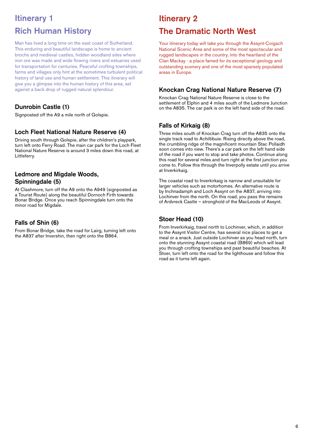# **Itinerary 1 Rich Human History**

Man has lived a long time on the east coast of Sutherland. This enduring and beautiful landscape is home to ancient brochs and medieval castles, hidden woodland sites where iron ore was made and wide flowing rivers and estuaries used for transportation for centuries. Peaceful crofting townships, farms and villages only hint at the sometimes turbulent political history of land use and human settlement. This itinerary will give you a glimpse into the human history of this area, set against a back drop of rugged natural splendour.

## **Dunrobin Castle (1)**

Signposted off the A9 a mile north of Golspie.

#### **Loch Fleet National Nature Reserve (4)**

Driving south through Golspie, after the children's playpark, turn left onto Ferry Road. The main car park for the Loch Fleet National Nature Reserve is around 3 miles down this road, at Littleferry.

#### **Ledmore and Migdale Woods, Spinningdale (5)**

At Clashmore, turn off the A9 onto the A949 (signposted as a Tourist Route) along the beautiful Dornoch Firth towards Bonar Bridge. Once you reach Spinningdale turn onto the minor road for Migdale.

#### **Falls of Shin (6)**

From Bonar Bridge, take the road for Lairg, turning left onto the A837 after Invershin, then right onto the B864.

## **Itinerary 2**

# **The Dramatic North West**

Your itinerary today will take you through the Assynt-Coigach National Scenic Area and some of the most spectacular and rugged landscapes in the country, into the heartland of the Clan Mackay - a place famed for its exceptional geology and outstanding scenery and one of the most sparsely populated areas in Europe.

#### **Knockan Crag National Nature Reserve (7)**

Knockan Crag National Nature Reserve is close to the settlement of Elphin and 4 miles south of the Ledmore Junction on the A835. The car park is on the left hand side of the road.

#### **Falls of Kirkaig (8)**

Three miles south of Knockan Crag turn off the A835 onto the single track road to Achiltibuie. Rising directly above the road, the crumbling ridge of the magnificent mountain Stac Pollaidh soon comes into view. There's a car park on the left hand side of the road if you want to stop and take photos. Continue along this road for several miles and turn right at the first junction you come to. Follow this through the Inverpolly estate until you arrive at Inverkirkaig.

The coastal road to Inverkirkaig is narrow and unsuitable for larger vehicles such as motorhomes. An alternative route is by Inchnadamph and Loch Assynt on the A837, arriving into Lochinver from the north. On this road, you pass the remains of Ardvreck Castle – stronghold of the MacLeods of Assynt.

#### **Stoer Head (10)**

From Inverkirkaig, travel north to Lochinver, which, in addition to the Assynt Visitor Centre, has several nice places to get a meal or a snack. Just outside Lochinver as you head north, turn onto the stunning Assynt coastal road (B869) which will lead you through crofting townships and past beautiful beaches. At Stoer, turn left onto the road for the lighthouse and follow this road as it turns left again.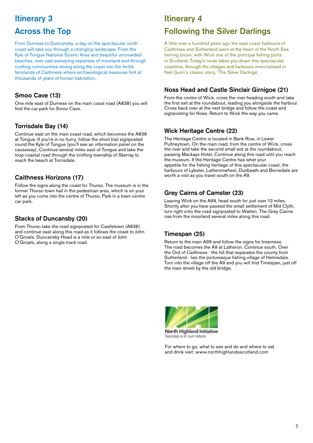# **Itinerary 3**

## **Across the Top**

From Durness to Duncansby, a day on the spectacular north coast will take you through a changing landscape. From the Kyle of Tongue National Scenic Area and beautiful uncrowded beaches, over vast sweeping expanses of moorland and through crofting communities strung along the coast into the fertile farmlands of Caithness where archaeological treasures hint at thousands of years of human habitation.

#### **Smoo Cave (13)**

One mile east of Durness on the main coast road (A838) you will find the car park for Smoo Cave.

#### **Torrisdale Bay (14)**

Continue east on the main coast road, which becomes the A836 at Tongue. If you're in no hurry, follow the short trail signposted round the Kyle of Tongue (you'll see an information panel on the causeway). Continue several miles east of Tongue and take the loop coastal road through the crofting township of Skerray to reach the beach at Torrisdale.

#### **Caithness Horizons (17)**

Follow the signs along the coast for Thurso. The museum is in the former Thurso town hall in the pedestrian area, which is on your left as you come into the centre of Thurso. Park in a town centre car park.

#### **Stacks of Duncansby (20)**

From Thurso take the road signposted for Castletown (A836) and continue east along this road as it follows the coast to John O'Groats. Duncansby Head is a mile or so east of John O'Groats, along a single track road.

## **Itinerary 4**

## **Following the Silver Darlings**

A little over a hundred years ago the east coast harbours of Caithness and Sutherland were at the heart of the North Sea herring boom, with Wick one of the principal fishing ports in Scotland. Today's route takes you down this spectacular coastline, through the villages and harbours immortalised in Neil Gunn's classic story, 'The Silver Darlings'.

#### **Noss Head and Castle Sinclair Girnigoe (21)**

From the centre of Wick, cross the river heading south and take the first exit at the roundabout, leading you alongside the harbour. Cross back over at the next bridge and follow the coast and signposting for Noss. Return to Wick the way you came.

#### **Wick Heritage Centre (22)**

The Heritage Centre is located in Bank Row, in Lower Pultneytown. On the main road, from the centre of Wick, cross the river and take the second small exit at the roundabout, passing Mackays Hotel. Continue along this road until you reach the museum. If the Heritage Centre has whet your appetite for the fishing heritage of this spectacular coast, the harbours of Lybster, Latheronwheel, Dunbeath and Berriedale are worth a visit as you travel south on the A9.

### **Grey Cairns of Camster (23)**

Leaving Wick on the A99, head south for just over 12 miles. Shortly after you have passed the small settlement of Mid Clyth, turn right onto the road signposted to Watten. The Grey Cairns rise from the moorland several miles along this road.

#### **Timespan (25)**

Return to the main A99 and follow the signs for Inverness. The road becomes the A9 at Latheron. Continue south. Over the Ord of Caithness - the hill that separates the county from Sutherland - lies the picturesque fishing village of Helmsdale. Turn into the village off the A9 and you will find Timespan, just off the main street by the old bridge.



For where to go, what to see and do and where to eat and drink visit: www.northhighlandsscotland.com